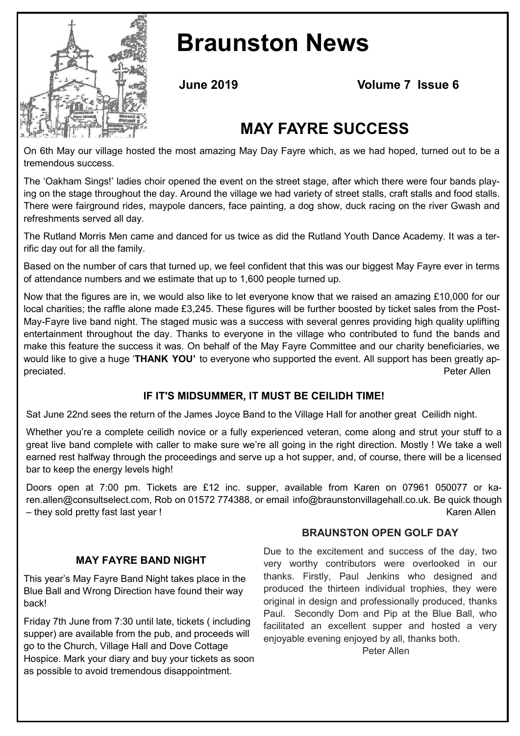

# **Braunston News**

**June 2019 Volume 7 Issue 6**

# **MAY FAYRE SUCCESS**

On 6th May our village hosted the most amazing May Day Fayre which, as we had hoped, turned out to be a tremendous success.

The 'Oakham Sings!' ladies choir opened the event on the street stage, after which there were four bands playing on the stage throughout the day. Around the village we had variety of street stalls, craft stalls and food stalls. There were fairground rides, maypole dancers, face painting, a dog show, duck racing on the river Gwash and refreshments served all day.

The Rutland Morris Men came and danced for us twice as did the Rutland Youth Dance Academy. It was a terrific day out for all the family.

Based on the number of cars that turned up, we feel confident that this was our biggest May Fayre ever in terms of attendance numbers and we estimate that up to 1,600 people turned up.

Now that the figures are in, we would also like to let everyone know that we raised an amazing £10,000 for our local charities; the raffle alone made £3,245. These figures will be further boosted by ticket sales from the Post-May-Fayre live band night. The staged music was a success with several genres providing high quality uplifting entertainment throughout the day. Thanks to everyone in the village who contributed to fund the bands and make this feature the success it was. On behalf of the May Fayre Committee and our charity beneficiaries, we would like to give a huge '**THANK YOU'** to everyone who supported the event. All support has been greatly appreciated. Peter Allen

# **IF IT'S MIDSUMMER, IT MUST BE CEILIDH TIME!**

Sat June 22nd sees the return of the James Joyce Band to the Village Hall for another great Ceilidh night.

Whether you're a complete ceilidh novice or a fully experienced veteran, come along and strut your stuff to a great live band complete with caller to make sure we're all going in the right direction. Mostly ! We take a well earned rest halfway through the proceedings and serve up a hot supper, and, of course, there will be a licensed bar to keep the energy levels high!

Doors open at 7:00 pm. Tickets are £12 inc. supper, available from Karen on 07961 050077 or karen.allen@consultselect.com, Rob on 01572 774388, or email info@braunstonvillagehall.co.uk. Be quick though – they sold pretty fast last year ! Karen Allen

# **MAY FAYRE BAND NIGHT**

This year's May Fayre Band Night takes place in the Blue Ball and Wrong Direction have found their way back!

Friday 7th June from 7:30 until late, tickets ( including supper) are available from the pub, and proceeds will go to the Church, Village Hall and Dove Cottage Hospice. Mark your diary and buy your tickets as soon as possible to avoid tremendous disappointment.

#### **BRAUNSTON OPEN GOLF DAY**

Due to the excitement and success of the day, two very worthy contributors were overlooked in our thanks. Firstly, Paul Jenkins who designed and produced the thirteen individual trophies, they were original in design and professionally produced, thanks Paul. Secondly Dom and Pip at the Blue Ball, who facilitated an excellent supper and hosted a very enjoyable evening enjoyed by all, thanks both.

Peter Allen